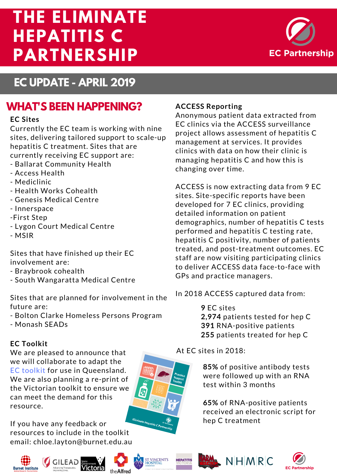# **THE ELIMINATE HEPATITIS C PARTNERSHIP**



## **EC UPDATE - APRIL 2019**

## **WHAT'S BEEN HAPPENING?**

#### **EC Sites**

Currently the EC team is working with nine sites, delivering tailored support to scale-up hepatitis C treatment. Sites that are currently receiving EC support are:

- Ballarat Community Health
- Access Health
- Mediclinic
- Health Works Cohealth
- Genesis Medical Centre
- Innerspace
- -First Step
- Lygon Court Medical Centre
- MSIR

Sites that have finished up their EC involvement are:

- Braybrook cohealth
- South Wangaratta Medical Centre

Sites that are planned for [involvement](http://ecpartnership.org.au/resources) in the future are:

- Bolton Clarke Homeless Persons Program

- Monash SEADs

#### **EC Toolkit**

We are pleased to announce that we will collaborate to adapt the EC toolkit for use in Queensland. We are also planning a re-print of the Victorian toolkit to ensure we can meet the demand for this resource.

If you have any feedback or resources to include in the toolkit email: [chloe.layton@burnet.edu.au](https://ecpartnership.org.au/toolkit)







# ST VINCENT'S<br>HOSPITAL







#### **ACCESS Reporting**

Anonymous patient data extracted from EC clinics via the ACCESS surveillance project allows assessment of hepatitis C management at services. It provides clinics with data on how their clinic is managing hepatitis C and how this is changing over time.

ACCESS is now extracting data from 9 EC sites. Site-specific reports have been developed for 7 EC clinics, providing detailed information on patient demographics, number of hepatitis C tests performed and hepatitis C testing rate, hepatitis C positivity, number of patients treated, and [post-treatment](http://burnet.edu.au/events) outcomes. EC staff are now visiting participating clinics to deliver ACCESS data face-to-face with GPs and practice managers.

In 2018 ACCESS captured data from:

**9** EC sites **2,974** patients tested for hep C **391** [RNA-positive](http://burnet.edu.au/events) patients **255** patients treated for hep C

At EC sites in [2018:](http://burnet.edu.au/events)

**85%** of positive antibody tests were followed up with an RNA test within 3 months

**65%** of [RNA-positive](http://burnet.edu.au/events) patients received an electronic script for hep C treatment

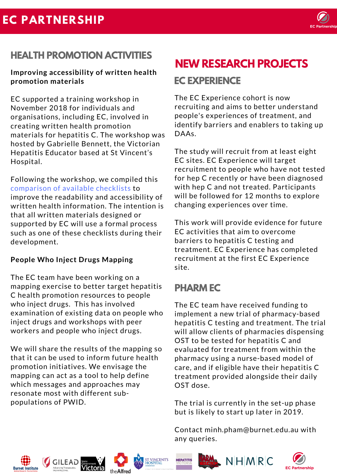

## **HEALTH PROMOTION ACTIVITIES**

#### **Improving accessibility of written health promotion materials**

EC supported a training workshop in November 2018 for individuals and [organisations,](https://ecpartnership.org.au/system/resource/86/file/Improving_Written_Health_Information_-_Checklist_Comparison.pdf) including EC, involved in creating written health promotion materials for hepatitis C. The workshop was hosted by Gabrielle Bennett, the Victorian Hepatitis Educator based at St Vincent's Hospital.

Following the workshop, we compiled this comparison of available checklists to improve the readability and accessibility of written health information. The intention is that all written materials designed or supported by EC will use a formal process such as one of these checklists during their development.

#### **People Who Inject Drugs Mapping**

The EC team have been working on a mapping exercise to better target hepatitis C health promotion resources to people who inject drugs. This has involved examination of existing data on people who inject drugs and workshops with peer workers and people who inject drugs.

We will share the results of the mapping so that it can be used to inform future health promotion initiatives. We envisage the mapping can act as a tool to help define which messages and approaches may resonate most with different subpopulations of PWID.

# **NEW RESEARCH PROJECTS**

## **EC EXPERIENCE**

The EC Experience cohort is now recruiting and aims to better understand people's experiences of treatment, and identify barriers and enablers to taking up DAAs.

The study will recruit from at least eight EC sites. EC Experience will target recruitment to people who have not tested for hep C recently or have been diagnosed with hep C and not treated. [Participants](http://burnet.edu.au/events) will be followed for 12 months to explore changing experiences over time.

This work will provide evidence for future EC activities that aim to overcome barriers to hepatitis C testing and treatment. EC Experience has completed recruitment at the first EC Experience site.

## **PHARM EC**

The EC team have received funding to implement a new trial of pharmacy-based hepatitis C testing and treatment. The trial will allow clients of pharmacies dispensing OST to be tested for hepatitis C and evaluated for treatment from within the pharmacy using a nurse-based model of care, and if eligible have their hepatitis C treatment provided alongside their daily OST dose.

The trial is currently in the set-up phase but is likely to start up later in 2019.

Contact [minh.pham@burnet.edu.au](http://burnet.edu.au/events) with any queries.













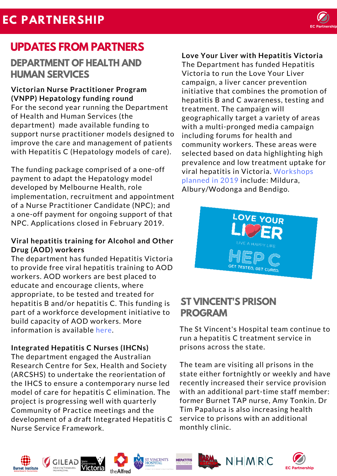# **EC PARTNERSHIP**



## **UPDATES FROM PARTNERS**

## **DEPARTMENT OF HEALTH AND HUMAN SERVICES**

**Victorian Nurse Practitioner Program (VNPP) Hepatology funding round** For the second year running the Department of Health and Human Services (the department) made available funding to support nurse practitioner models designed to improve the care and management of patients with Hepatitis C (Hepatology models of care).

The funding package comprised of a one-off payment to adapt the Hepatology model developed by Melbourne Health, role [implementation,](http://www.hepvic.org.au/page/1296/hepready-training-aod-workers) recruitment and appointment of a Nurse Practitioner Candidate (NPC); and a one-off payment for ongoing support of that NPC. Applications closed in February 2019.

#### **Viral hepatitis training for Alcohol and Other Drug (AOD) workers**

The department has funded Hepatitis Victoria to provide free viral hepatitis training to AOD workers. AOD workers are best placed to educate and encourage clients, where appropriate, to be tested and treated for hepatitis B and/or hepatitis C. This funding is part of a workforce development initiative to build capacity of AOD workers. More information is available here.

#### **Integrated Hepatitis C Nurses (IHCNs)**

The department engaged the Australian Research Centre for Sex, Health and Society (ARCSHS) to undertake the reorientation of the IHCS to ensure a contemporary nurse led model of care for hepatitis C elimination. The project is progressing well with quarterly Community of Practice meetings and the development of a draft Integrated Hepatitis C Nurse Service Framework.

#### **Love Your Liver with Hepatitis Victoria**

The Department has funded Hepatitis Victoria to run the Love Your Liver campaign, a liver cancer prevention initiative that combines the promotion of hepatitis B and C awareness, testing and treatment. The campaign will geographically target a variety of areas with a multi-pronged media campaign including forums for health and community workers. These areas were selected based on data highlighting high prevalence and low treatment uptake for viral hepatitis in Victoria. Workshops planned in 2019 include: Mildura, [Albury/Wodonga](https://www.hepvic.org.au/page/1276/hepready-regional-workshops) and Bendigo.



## **ST VINCENT'S PRISON PROGRAM**

The St Vincent's Hospital team continue to run a hepatitis C treatment service in prisons across the state.

The team are visiting all prisons in the state either [fortnightly](https://ecpartnership.org.au/system/resource/86/file/Improving_Written_Health_Information_-_Checklist_Comparison.pdf) or weekly and have recently increased their service provision with an additional part-time staff member: former Burnet TAP nurse, Amy Tonkin. Dr Tim Papaluca is also increasing health service to prisons with an additional monthly clinic.















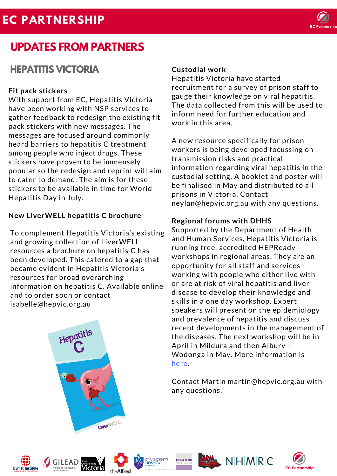## **EC PARTNERSHIP**



## **UPDATES FROM PARTNERS**

## **HEPATITIS VICTORIA Custodial work**

#### **Fit pack stickers**

With support from EC, Hepatitis Victoria have been working with NSP services to gather feedback to redesign the existing fit pack stickers with new messages. The messages are focused around commonly heard barriers to hepatitis C treatment among people who inject drugs. These stickers have proven to be immensely popular so the redesign and reprint will aim to cater to demand. The aim is for these stickers to be available in time for World Hepatitis Day in July.

#### **New [LiverWELL](https://ecpartnership.org.au/system/resource/86/file/Improving_Written_Health_Information_-_Checklist_Comparison.pdf) hepatitis C brochure**

To complement Hepatitis Victoria's existing and growing collection of LiverWELL resources a brochure on hepatitis C has been developed. This catered to a gap that became evident in Hepatitis Victoria's resources for broad overarching information on hepatitis C. Available online and to order soon or contact [isabelle@hepvic.org.au](https://ecpartnership.org.au/system/resource/86/file/Improving_Written_Health_Information_-_Checklist_Comparison.pdf)

Hepatitis Victoria have started recruitment for a survey of prison staff to gauge their knowledge on viral hepatitis. The data collected from this will be used to inform need for further education and work in this area.

A new resource specifically for prison workers is being developed focussing on transmission risks and practical information regarding viral hepatitis in the custodial setting. A booklet and poster will be finalised in May and distributed to all prisons in Victoria. Contact neylan@hepvic.org.au with any questions.

#### **Regional forums with DHHS**

Supported by the Department of Health and Human Services, Hepatitis Victoria is running free, accredited HEPReady workshops in regional areas. They are an opportunity for all staff and services working with people who either live with or are at risk of viral hepatitis and liver disease to develop their knowledge and skills in a one day workshop. Expert speakers will present on the epidemiology and prevalence of hepatitis and discuss recent developments in the management of the diseases. The next workshop will be in April in Mildura and then Albury – Wodonga in May. More information is here.

Contact Martin [martin@hepvic.org.au](http://www.hepvic.org.au/page/1276/hepready-regional-workshops) with any questions.







**LiverWELI** 







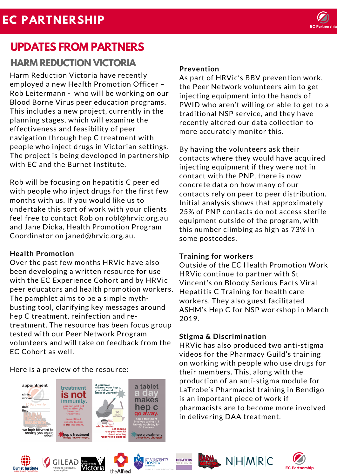

# **UPDATES FROM PARTNERS**

## **HARM REDUCTION VICTORIA**

Harm Reduction Victoria have recently employed a new Health Promotion Officer – Rob Leitermann - who will be working on our Blood Borne Virus peer education programs. This includes a new project, currently in the planning stages, which will examine the effectiveness and feasibility of peer navigation through hep C treatment with people who inject drugs in Victorian settings. The project is being developed in partnership with EC and the Burnet Institute.

Rob will be focusing on hepatitis C peer ed with people who inject drugs for the first few months with us. If you would like us to undertake this sort of work with your clients feel free to contact Rob on robl@hrvic.org.au and Jane Dicka, Health Promotion Program Coordinator on [janed@hrvic.org.au.](https://ecpartnership.org.au/system/resource/86/file/Improving_Written_Health_Information_-_Checklist_Comparison.pdf)

#### **Health Promotion**

Over the past few months HRVic have also been developing a written resource for use with the EC Experience Cohort and by HRVic peer educators and health promotion workers. The pamphlet aims to be a simple mythbusting tool, clarifying key messages around hep C treatment, reinfection and retreatment. The resource has been focus group tested with our Peer Network Program volunteers and will take on feedback from the EC Cohort as well.

### Here is a preview of the resource:



#### **Prevention**

As part of HRVic's BBV prevention work, the Peer Network volunteers aim to get injecting equipment into the hands of PWID who aren't willing or able to get to a traditional NSP service, and they have recently altered our data collection to more accurately monitor this.

By having the volunteers ask their contacts where they would have acquired injecting equipment if they were not in contact with the PNP, there is now concrete data on how many of our contacts rely on peer to peer distribution. Initial analysis shows that approximately 25% of PNP contacts do not access sterile equipment outside of the program, with this number climbing as high as 73% in some postcodes.

#### **Training for workers**

Outside of the EC Health Promotion Work HRVic continue to partner with St Vincent's on Bloody Serious Facts Viral Hepatitis C Training for health care workers. They also guest facilitated ASHM's Hep C for NSP workshop in March 2019.

#### **Stigma & [Discrimination](http://www.hepvic.org.au/events/109/hepspeak-training-6-13-april)**

HRVic has also produced two anti-stigma videos for the Pharmacy Guild's training on working with people who use drugs for their members. This, along with the production of an anti-stigma module for LaTrobe's Pharmacist training in Bendigo is an important piece of work if pharmacists are to become more involved in delivering DAA treatment.